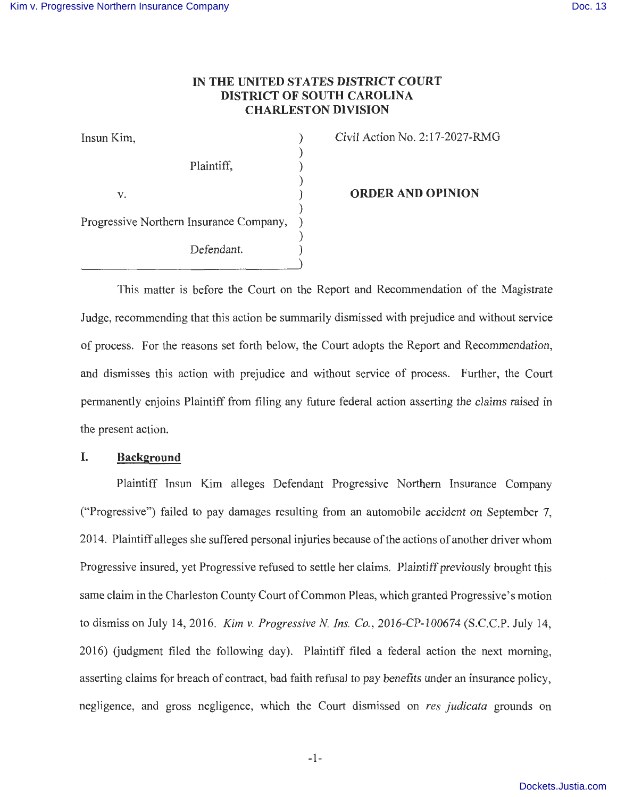## **IN THE UNITED STATES DISTRICT COURT DISTRICT OF SOUTH CAROLINA CHARLESTON DIVISION**

)

)

)

)

Insun Kim, ) Plaintiff, )  $\mathbf{v}$ . ) Progressive Northern Insurance Company, Defendant.

Civil Action No. 2: 17-2027-RMG

**ORDER AND OPINION** 

This matter is before the Court on the Report and Recommendation of the Magistrate Judge, recommending that this action be summarily dismissed with prejudice and without service of process. For the reasons set forth below, the Court adopts the Report and Recommendation, and dismisses this action with prejudice and without service of process. Further, the Court permanently enjoins Plaintiff from filing any future federal action asserting the claims raised in the present action.

#### **I. Background**

Plaintiff Insun Kim alleges Defendant Progressive Northern Insurance Company ("Progressive") failed to pay damages resulting from an automobile accident on September 7, 2014. Plaintiff alleges she suffered personal injuries because of the actions of another driver whom Progressive insured, yet Progressive refused to settle her claims. Plaintiff previously brought this same claim in the Charleston County Court of Common Pleas, which granted Progressive's motion to dismiss on July 14, 2016. *Kim v. Progressive N Ins. Co.,* 2016-CP-100674 (S.C.C.P. July 14, 2016) Gudgment filed the following day). Plaintiff filed a federal action the next morning, asserting claims for breach of contract, bad faith refusal to pay benefits under an insurance policy, negligence, and gross negligence, which the Court dismissed on *res judicata* grounds on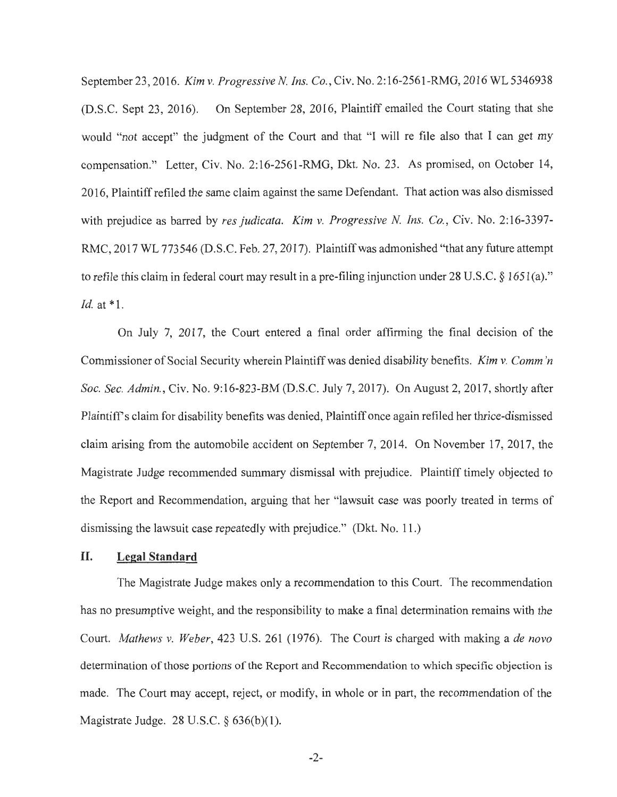September23 , 2016. *Kim v. Progressive N. Ins. Co.,* Civ. No. 2:16-2561-RMG, 2016 WL 5346938 (D.S.C. Sept 23, 2016). On September 28, 2016, Plaintiff emailed the Court stating that she would "not accept" the judgment of the Court and that "I will re file also that I can get my compensation." Letter, Civ. No. 2:16-2561-RMG, Dkt. No. 23. As promised, on October 14, 2016, Plaintiff refiled the same claim against the same Defendant. That action was also dismissed with prejudice as barred by *res judicata. Kim v. Progressive N. Ins. Co.,* Civ. No. 2:16-3397- RMC, 2017 WL 773546 (D.S.C. Feb. 27, 2017). Plaintiff was admonished "that any future attempt to refile this claim in federal court may result in a pre-filing injunction under 28 U.S.C.  $\S 1651(a)$ ." *Id.* at \*1.

On July 7, 2017, the Court entered a final order affirming the final decision of the Commissioner of Social Security wherein Plaintiff was denied disability benefits. *Kim v. Comm 'n Soc. Sec. Admin. ,* Civ. No. 9:16-823-BM (D.S.C. July 7, 2017). On August 2, 2017, shortly after Plaintiff's claim for disability benefits was denied, Plaintiff once again refiled her thrice-dismissed claim arising from the automobile accident on September 7, 2014. On November 17, 2017, the Magistrate Judge recommended summary dismissal with prejudice. Plaintiff timely objected to the Report and Recommendation, arguing that her "lawsuit case was poorly treated in terms of dismissing the lawsuit case repeatedly with prejudice." (Dkt. No. 11.)

#### **II. Legal Standard**

The Magistrate Judge makes only a recommendation to this Court. The recommendation has no presumptive weight, and the responsibility to make a final determination remains with the Court. *Mathews v. Weber,* 423 U.S. 261 (1976). The Court is charged with making a *de nova*  determination of those portions of the Report and Recommendation to which specific objection is made. The Court may accept, reject, or modify, in whole or in part, the recommendation of the Magistrate Judge. 28 U.S.C. § 636(b)(l).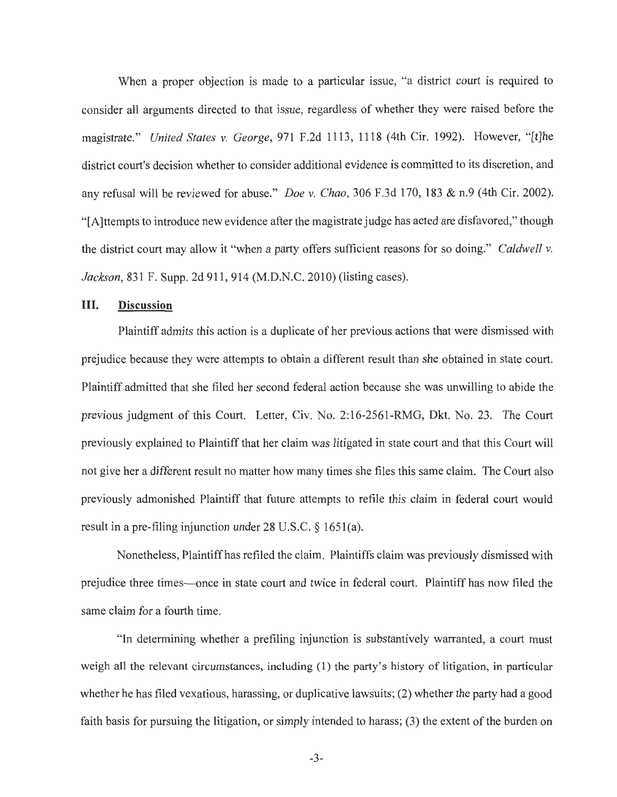When a proper objection is made to a particular issue, "a district court is required to consider all arguments directed to that issue, regardless of whether they were raised before the magistrate." *United States v. George,* 971 F.2d 1113, 1118 (4th Cir. 1992). However, " [t]he district court's decision whether to consider additional evidence is committed to its discretion, and any refusal will be reviewed for abuse." *Doe v. Chao*, 306 F.3d 170, 183 & n.9 (4th Cir. 2002). " [A ]ttempts to introduce new evidence after the magistrate judge has acted are disfavored," though the district court may allow it "when a party offers sufficient reasons for so doing." *Caldwell v. Jackson,* 831 F. Supp. 2d 911, 914 (M.D.N.C. 2010) (listing cases).

## III. **Discussion**

Plaintiff admits this action is a duplicate of her previous actions that were dismissed with prejudice because they were attempts to obtain a different result than she obtained in state court. Plaintiff admitted that she filed her second federal action because she was unwilling to abide the previous judgment of this Court. Letter, Civ. No. 2: 16-2561-RMG, Dkt. No. 23. The Court previously explained to Plaintiff that her claim was litigated in state court and that this Court will not give her a different result no matter how many times she files this same claim. The Court also previously admonished Plaintiff that future attempts to refile this claim in federal court would result in a pre-filing injunction under 28 U.S.C. § 1651(a).

Nonetheless, Plaintiff has refiled the claim. Plaintiffs claim was previously dismissed with prejudice three times-once in state court and twice in federal court. Plaintiff has now filed the same claim for a fourth time.

"In determining whether a prefiling injunction is substantively warranted, a court must weigh all the relevant circumstances, including (1) the party's history of litigation, in particular whether he has filed vexatious, harassing, or duplicative lawsuits; (2) whether the party had a good faith basis for pursuing the litigation, or simply intended to harass; (3) the extent of the burden on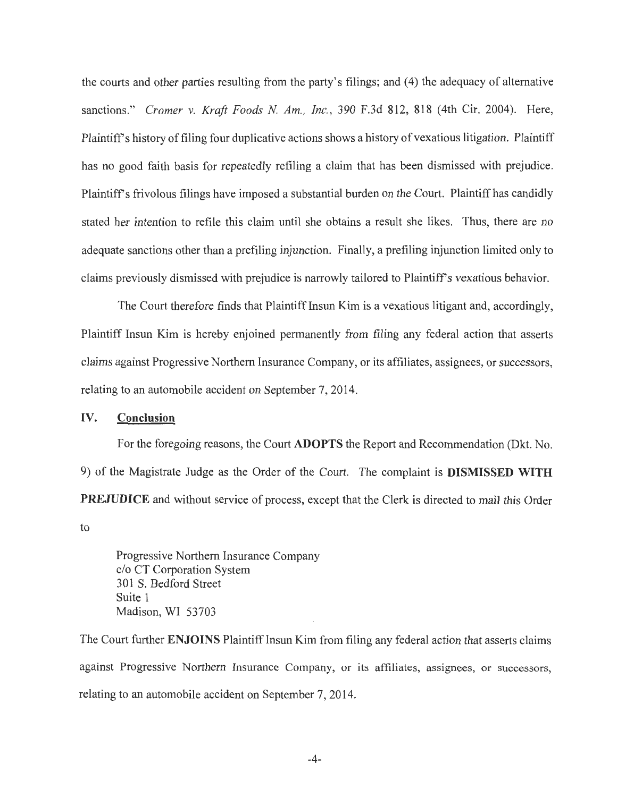the courts and other parties resulting from the party' s filings; and (4) the adequacy of alternative sanctions." *Cromer v. Kraft Foods N Am., Inc.,* 390 F.3d 812, 818 (4th Cir. 2004). Here, Plaintiffs history of filing four duplicative actions shows a history of vexatious litigation. Plaintiff has no good faith basis for repeatedly refiling a claim that has been dismissed with prejudice. Plaintiff's frivolous filings have imposed a substantial burden on the Court. Plaintiff has candidly stated her intention to refile this claim until she obtains a result she likes. Thus, there are no adequate sanctions other than a prefiling injunction. Finally, a prefiling injunction limited only to claims previously dismissed with prejudice is narrowly tailored to Plaintiff's vexatious behavior.

The Court therefore finds that Plaintiff Insun Kim is a vexatious litigant and, accordingly, Plaintiff Insun Kim is hereby enjoined permanently from filing any federal action that asserts claims against Progressive Northern Insurance Company, or its affiliates, assignees, or successors, relating to an automobile accident on September 7, 2014.

## IV. **Conclusion**

For the foregoing reasons, the Court **ADOPTS** the Report and Recommendation (Dkt. No. 9) of the Magistrate Judge as the Order of the Court. The complaint is **DISMISSED WITH PREJUDICE** and without service of process, except that the Clerk is directed to mail this Order to

Progressive Northern Insurance Company c/o CT Corporation System 301 S. Bedford Street Suite 1 Madison, WI 53703

The Court further **ENJOINS** Plaintiff Insun Kim from filing any federal action that asserts claims against Progressive Northern Insurance Company, or its affiliates, assignees, or successors, relating to an automobile accident on September 7, 2014.